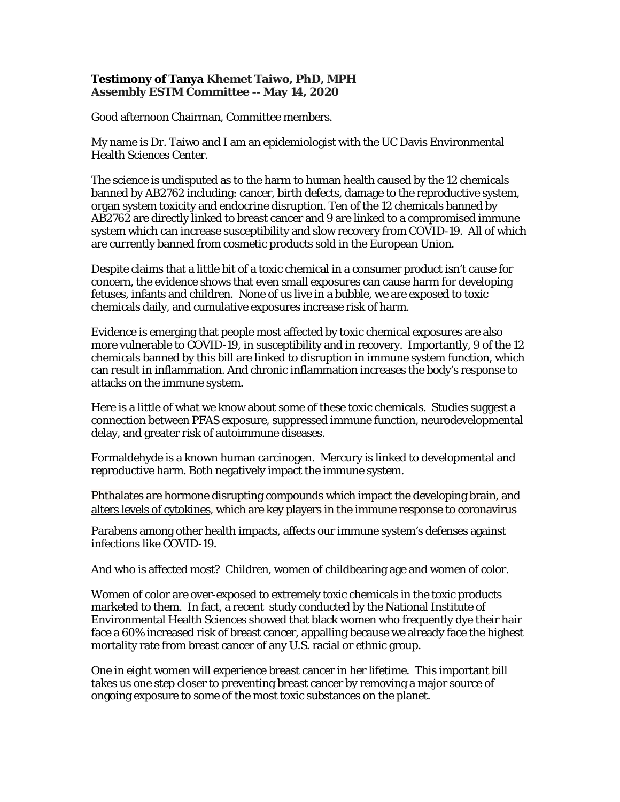## **Testimony of Tanya Khemet Taiwo, PhD, MPH Assembly ESTM Committee -- May 14, 2020**

Good afternoon Chairman, Committee members.

My name is Dr. Taiwo and I am an epidemiologist with the UC Davis Environmental [Health Sciences Center.](https://environmentalhealth.ucdavis.edu/)

The science is undisputed as to the harm to human health caused by the 12 chemicals banned by AB2762 including: cancer, birth defects, damage to the reproductive system, organ system toxicity and endocrine disruption. Ten of the 12 chemicals banned by AB2762 are directly linked to breast cancer and 9 are linked to a compromised immune system which can increase susceptibility and slow recovery from COVID-19. All of which are currently banned from cosmetic products sold in the European Union.

Despite claims that a little bit of a toxic chemical in a consumer product isn't cause for concern, the evidence shows that even small exposures can cause harm for developing fetuses, infants and children. None of us live in a bubble, we are exposed to toxic chemicals daily, and cumulative exposures increase risk of harm.

Evidence is emerging that people most affected by toxic chemical exposures are also more vulnerable to COVID-19, in susceptibility and in recovery. Importantly, 9 of the 12 chemicals banned by this bill are linked to disruption in immune system function, which can result in inflammation. And chronic inflammation increases the body's response to attacks on the immune system.

Here is a little of what we know about some of these toxic chemicals. Studies suggest a connection between PFAS exposure, suppressed immune function, neurodevelopmental delay, and greater risk of autoimmune diseases.

Formaldehyde is a known human carcinogen. Mercury is linked to developmental and reproductive harm. Both negatively impact the immune system.

Phthalates are hormone disrupting compounds which impact the developing brain, and alters [levels of cytokines,](https://academic.oup.com/endo/article/159/1/32/4621445) which are key players in the immune response to coronavirus

Parabens among other health impacts, affects our immune system's defenses against infections like COVID-19.

And who is affected most? Children, women of childbearing age and women of color.

Women of color are over-exposed to extremely toxic chemicals in the toxic products marketed to them. In fact, a recent study conducted by the National Institute of Environmental Health Sciences showed that black women who frequently dye their hair face a 60% increased risk of breast cancer, appalling because we already face the highest mortality rate from breast cancer of any U.S. racial or ethnic group.

One in eight women will experience breast cancer in her lifetime. This important bill takes us one step closer to preventing breast cancer by removing a major source of ongoing exposure to some of the most toxic substances on the planet.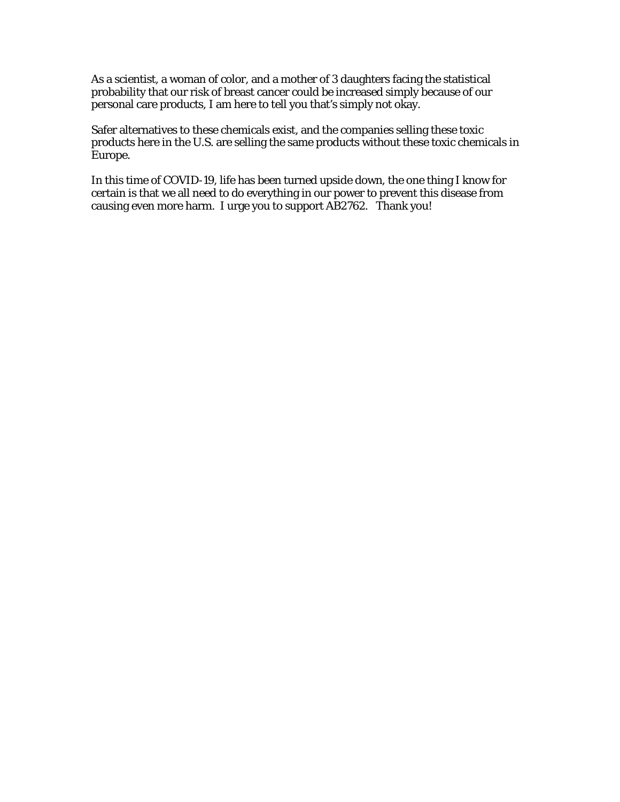As a scientist, a woman of color, and a mother of 3 daughters facing the statistical probability that our risk of breast cancer could be increased simply because of our personal care products, I am here to tell you that's simply not okay.

Safer alternatives to these chemicals exist, and the companies selling these toxic products here in the U.S. are selling the same products without these toxic chemicals in Europe.

In this time of COVID-19, life has been turned upside down, the one thing I know for certain is that we all need to do everything in our power to prevent this disease from causing even more harm. I urge you to support AB2762. Thank you!